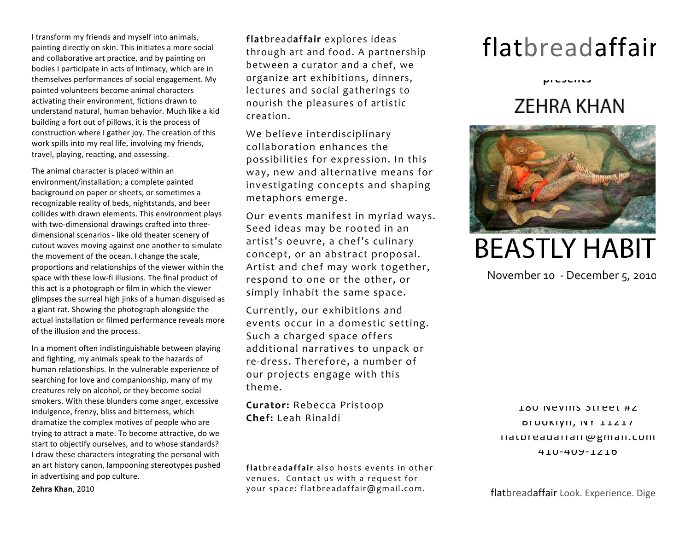I
transform
my
friends
and
myself
into
animals, painting
directly
on
skin.
This
initiates
a
more
social and
collaborative
art
practice,
and
by
painting
on bodies I participate in acts of intimacy, which are in themselves
performances
of
social
engagement.
My painted
volunteers
become
animal
characters activating
their
environment,
fictions
drawn
to understand
natural,
human
behavior.
Much
like
a
kid building
a
fort
out
of
pillows,
it
is
the
process
of construction
where
I
gather
joy.
The
creation
of
this work spills into my real life, involving my friends, travel,
playing,
reacting,
and
assessing.

The
animal
character
is
placed
within
an environment/installation;
a
complete
painted background
on
paper
or
sheets,
or
sometimes
a recognizable
reality
of
beds,
nightstands,
and
beer collides
with
drawn
elements.
This
environment
plays with two-dimensional drawings crafted into threedimensional
scenarios
‐
like
old
theater
scenery
of cutout
waves
moving
against
one
another
to
simulate the
movement
of
the
ocean.
I
change
the
scale, proportions
and
relationships
of
the
viewer
within
the space with these low-fi illusions. The final product of this act is a photograph or film in which the viewer glimpses
the
surreal
high
jinks
of
a
human
disguised
as a
giant
rat.
Showing
the
photograph
alongside
the actual
installation
or
filmed
performance
reveals
more of
the
illusion
and
the
process.

In
a
moment
often
indistinguishable
between
playing and
fighting,
my
animals
speak
to
the
hazards
of human
relationships.
In
the
vulnerable
experience
of searching
for
love
and
companionship,
many
of
my creatures
rely
on
alcohol,
or
they
become
social smokers.
With
these
blunders
come
anger,
excessive indulgence,
frenzy,
bliss
and
bitterness,
which dramatize
the
complex
motives
of
people
who
are trying
to
attract
a
mate.
To
become
attractive,
do
we start
to
objectify
ourselves,
and
to
whose
standards? I draw these characters integrating the personal with an
art
history
canon,
lampooning
stereotypes
pushed in
advertising
and
pop
culture.

**Zehra
Khan**,
2010

**flat**bread**affair** explores ideas through art and food. A partnership between a curator and a chef, we organize art exhibitions, dinners, lectures and social gatherings to nourish the pleasures of artistic creation.

We believe interdisciplinary collaboration enhances the possibilities for expression. In this way, new and alternative means for investigating concepts and shaping metaphors emerge.

Our events manifest in myriad ways. Seed ideas may be rooted in an artist's oeuvre, a chef's culinary concept, or an abstract proposal. Artist and chef may work together, respond to one or the other, or simply inhabit the same space.

Currently, our exhibitions and events occur in a domestic setting. Such a charged space offers additional narratives to unpack or re‐dress. Therefore, a number of our projects engage with this theme.

**Curator:** Rebecca Pristoop **Chef:** Leah Rinaldi

**flat** breada **ffair** also hosts events in other venues. Contact us with a request for your space: flatbreadaffair@gmail.com.

## flatbreadaffair

 **presents**

## **ZEHRA KHAN**



**BEASTLY HABIT** 

November 10 ‐ December 5, 2010

180 Nevills Street #2 Brooklyn,
NY
11217 flatbreadaffair@gmail.com 410‐409‐1216

flatbreadaffair Look. Experience. Dige